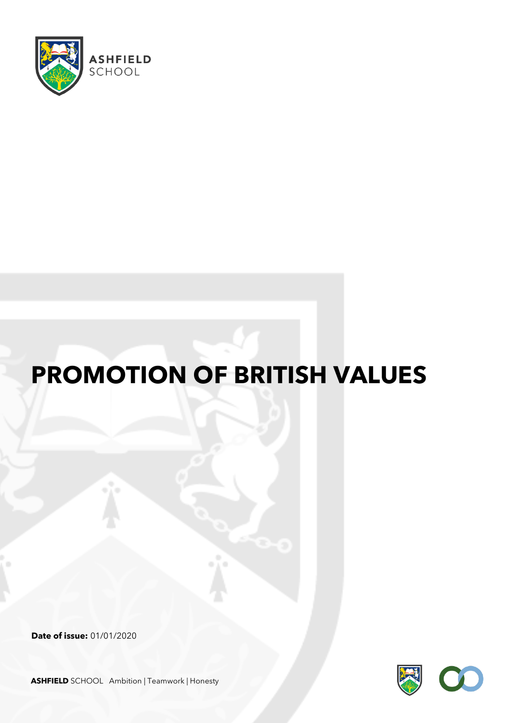

# **PROMOTION OF BRITISH VALUES**

**Date of issue:** 01/01/2020



**ASHFIELD** SCHOOL Ambition | Teamwork | Honesty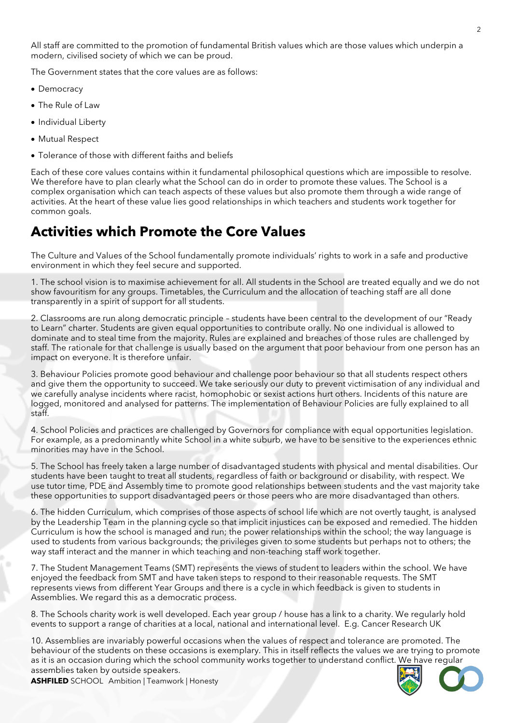All staff are committed to the promotion of fundamental British values which are those values which underpin a modern, civilised society of which we can be proud.

The Government states that the core values are as follows:

- Democracy
- The Rule of Law
- Individual Liberty
- Mutual Respect
- Tolerance of those with different faiths and beliefs

Each of these core values contains within it fundamental philosophical questions which are impossible to resolve. We therefore have to plan clearly what the School can do in order to promote these values. The School is a complex organisation which can teach aspects of these values but also promote them through a wide range of activities. At the heart of these value lies good relationships in which teachers and students work together for common goals.

#### **Activities which Promote the Core Values**

The Culture and Values of the School fundamentally promote individuals' rights to work in a safe and productive environment in which they feel secure and supported.

1. The school vision is to maximise achievement for all. All students in the School are treated equally and we do not show favouritism for any groups. Timetables, the Curriculum and the allocation of teaching staff are all done transparently in a spirit of support for all students.

2. Classrooms are run along democratic principle – students have been central to the development of our "Ready to Learn" charter. Students are given equal opportunities to contribute orally. No one individual is allowed to dominate and to steal time from the majority. Rules are explained and breaches of those rules are challenged by staff. The rationale for that challenge is usually based on the argument that poor behaviour from one person has an impact on everyone. It is therefore unfair.

3. Behaviour Policies promote good behaviour and challenge poor behaviour so that all students respect others and give them the opportunity to succeed. We take seriously our duty to prevent victimisation of any individual and we carefully analyse incidents where racist, homophobic or sexist actions hurt others. Incidents of this nature are logged, monitored and analysed for patterns. The implementation of Behaviour Policies are fully explained to all staff.

4. School Policies and practices are challenged by Governors for compliance with equal opportunities legislation. For example, as a predominantly white School in a white suburb, we have to be sensitive to the experiences ethnic minorities may have in the School.

5. The School has freely taken a large number of disadvantaged students with physical and mental disabilities. Our students have been taught to treat all students, regardless of faith or background or disability, with respect. We use tutor time, PDE and Assembly time to promote good relationships between students and the vast majority take these opportunities to support disadvantaged peers or those peers who are more disadvantaged than others.

6. The hidden Curriculum, which comprises of those aspects of school life which are not overtly taught, is analysed by the Leadership Team in the planning cycle so that implicit injustices can be exposed and remedied. The hidden Curriculum is how the school is managed and run; the power relationships within the school; the way language is used to students from various backgrounds; the privileges given to some students but perhaps not to others; the way staff interact and the manner in which teaching and non-teaching staff work together.

7. The Student Management Teams (SMT) represents the views of student to leaders within the school. We have enjoyed the feedback from SMT and have taken steps to respond to their reasonable requests. The SMT represents views from different Year Groups and there is a cycle in which feedback is given to students in Assemblies. We regard this as a democratic process.

8. The Schools charity work is well developed. Each year group / house has a link to a charity. We regularly hold events to support a range of charities at a local, national and international level. E.g. Cancer Research UK

10. Assemblies are invariably powerful occasions when the values of respect and tolerance are promoted. The behaviour of the students on these occasions is exemplary. This in itself reflects the values we are trying to promote as it is an occasion during which the school community works together to understand conflict. We have regular assemblies taken by outside speakers.



**ASHFILED** SCHOOL Ambition | Teamwork | Honesty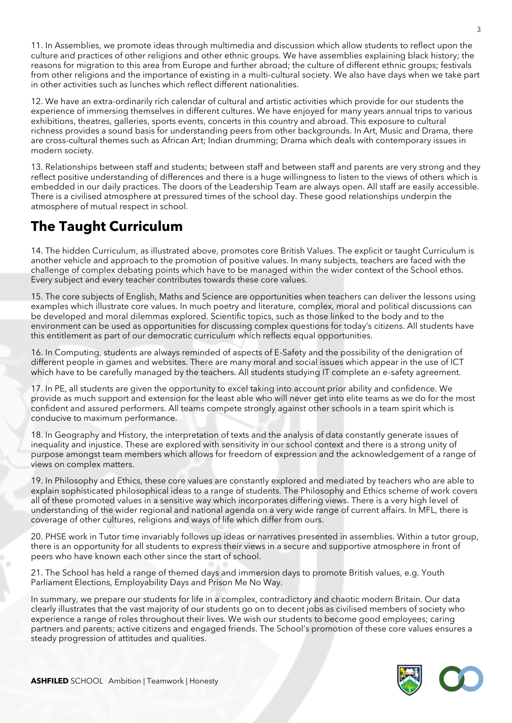11. In Assemblies, we promote ideas through multimedia and discussion which allow students to reflect upon the culture and practices of other religions and other ethnic groups. We have assemblies explaining black history; the reasons for migration to this area from Europe and further abroad; the culture of different ethnic groups; festivals from other religions and the importance of existing in a multi-cultural society. We also have days when we take part in other activities such as lunches which reflect different nationalities.

12. We have an extra-ordinarily rich calendar of cultural and artistic activities which provide for our students the experience of immersing themselves in different cultures. We have enjoyed for many years annual trips to various exhibitions, theatres, galleries, sports events, concerts in this country and abroad. This exposure to cultural richness provides a sound basis for understanding peers from other backgrounds. In Art, Music and Drama, there are cross-cultural themes such as African Art; Indian drumming; Drama which deals with contemporary issues in modern society.

13. Relationships between staff and students; between staff and between staff and parents are very strong and they reflect positive understanding of differences and there is a huge willingness to listen to the views of others which is embedded in our daily practices. The doors of the Leadership Team are always open. All staff are easily accessible. There is a civilised atmosphere at pressured times of the school day. These good relationships underpin the atmosphere of mutual respect in school.

## **The Taught Curriculum**

14. The hidden Curriculum, as illustrated above, promotes core British Values. The explicit or taught Curriculum is another vehicle and approach to the promotion of positive values. In many subjects, teachers are faced with the challenge of complex debating points which have to be managed within the wider context of the School ethos. Every subject and every teacher contributes towards these core values.

15. The core subjects of English, Maths and Science are opportunities when teachers can deliver the lessons using examples which illustrate core values. In much poetry and literature, complex, moral and political discussions can be developed and moral dilemmas explored. Scientific topics, such as those linked to the body and to the environment can be used as opportunities for discussing complex questions for today's citizens. All students have this entitlement as part of our democratic curriculum which reflects equal opportunities.

16. In Computing, students are always reminded of aspects of E-Safety and the possibility of the denigration of different people in games and websites. There are many moral and social issues which appear in the use of ICT which have to be carefully managed by the teachers. All students studying IT complete an e-safety agreement.

17. In PE, all students are given the opportunity to excel taking into account prior ability and confidence. We provide as much support and extension for the least able who will never get into elite teams as we do for the most confident and assured performers. All teams compete strongly against other schools in a team spirit which is conducive to maximum performance.

18. In Geography and History, the interpretation of texts and the analysis of data constantly generate issues of inequality and injustice. These are explored with sensitivity in our school context and there is a strong unity of purpose amongst team members which allows for freedom of expression and the acknowledgement of a range of views on complex matters.

19. In Philosophy and Ethics, these core values are constantly explored and mediated by teachers who are able to explain sophisticated philosophical ideas to a range of students. The Philosophy and Ethics scheme of work covers all of these promoted values in a sensitive way which incorporates differing views. There is a very high level of understanding of the wider regional and national agenda on a very wide range of current affairs. In MFL, there is coverage of other cultures, religions and ways of life which differ from ours.

20. PHSE work in Tutor time invariably follows up ideas or narratives presented in assemblies. Within a tutor group, there is an opportunity for all students to express their views in a secure and supportive atmosphere in front of peers who have known each other since the start of school.

21. The School has held a range of themed days and immersion days to promote British values, e.g. Youth Parliament Elections, Employability Days and Prison Me No Way.

In summary, we prepare our students for life in a complex, contradictory and chaotic modern Britain. Our data clearly illustrates that the vast majority of our students go on to decent jobs as civilised members of society who experience a range of roles throughout their lives. We wish our students to become good employees; caring partners and parents; active citizens and engaged friends. The School's promotion of these core values ensures a steady progression of attitudes and qualities.

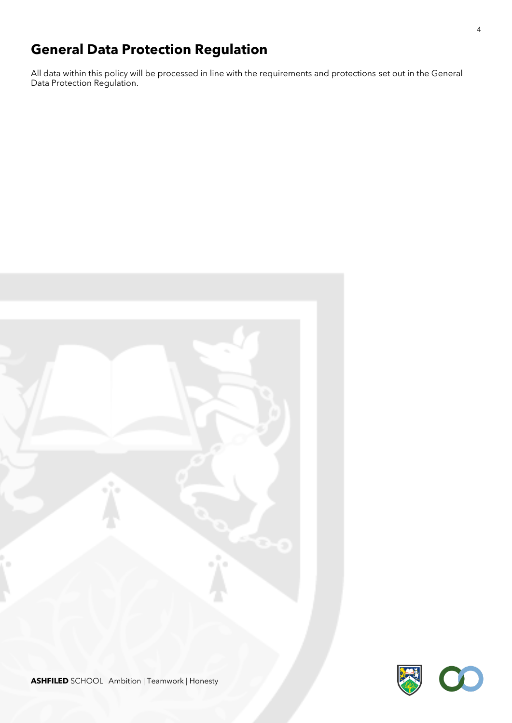## **General Data Protection Regulation**

All data within this policy will be processed in line with the requirements and protections set out in the General Data Protection Regulation.